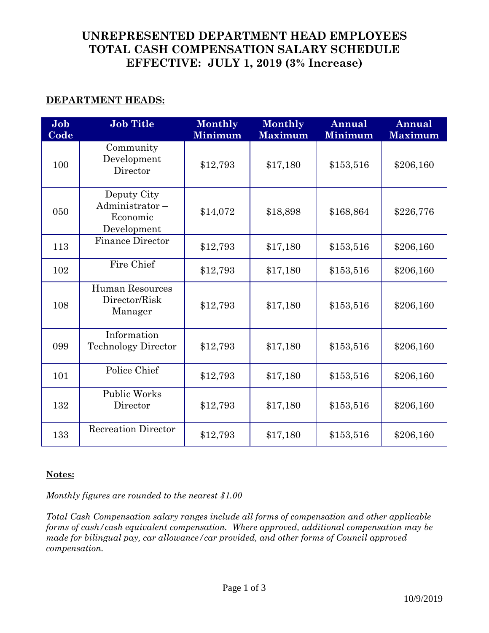# **UNREPRESENTED DEPARTMENT HEAD EMPLOYEES TOTAL CASH COMPENSATION SALARY SCHEDULE EFFECTIVE: JULY 1, 2019 (3% Increase)**

# **DEPARTMENT HEADS:**

| Job<br>Code | <b>Job Title</b>                                         | Monthly<br><b>Minimum</b> | Monthly<br><b>Maximum</b> | Annual<br><b>Minimum</b> | Annual<br><b>Maximum</b> |
|-------------|----------------------------------------------------------|---------------------------|---------------------------|--------------------------|--------------------------|
| 100         | Community<br>Development<br>Director                     | \$12,793                  | \$17,180                  | \$153,516                | \$206,160                |
| 050         | Deputy City<br>Administrator-<br>Economic<br>Development | \$14,072                  | \$18,898                  | \$168,864                | \$226,776                |
| 113         | <b>Finance Director</b>                                  | \$12,793                  | \$17,180                  | \$153,516                | \$206,160                |
| 102         | Fire Chief                                               | \$12,793                  | \$17,180                  | \$153,516                | \$206,160                |
| 108         | <b>Human Resources</b><br>Director/Risk<br>Manager       | \$12,793                  | \$17,180                  | \$153,516                | \$206,160                |
| 099         | Information<br><b>Technology Director</b>                | \$12,793                  | \$17,180                  | \$153,516                | \$206,160                |
| 101         | Police Chief                                             | \$12,793                  | \$17,180                  | \$153,516                | \$206,160                |
| 132         | <b>Public Works</b><br>Director                          | \$12,793                  | \$17,180                  | \$153,516                | \$206,160                |
| 133         | <b>Recreation Director</b>                               | \$12,793                  | \$17,180                  | \$153,516                | \$206,160                |

## **Notes:**

*Monthly figures are rounded to the nearest \$1.00*

*Total Cash Compensation salary ranges include all forms of compensation and other applicable forms of cash/cash equivalent compensation. Where approved, additional compensation may be made for bilingual pay, car allowance/car provided, and other forms of Council approved compensation.*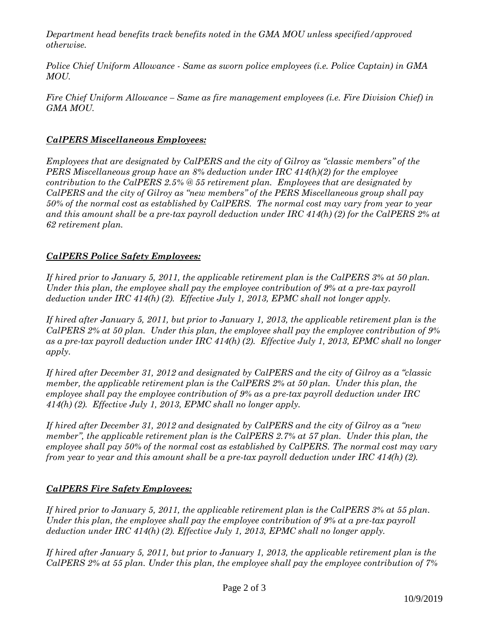*Department head benefits track benefits noted in the GMA MOU unless specified/approved otherwise.*

*Police Chief Uniform Allowance - Same as sworn police employees (i.e. Police Captain) in GMA MOU.*

*Fire Chief Uniform Allowance – Same as fire management employees (i.e. Fire Division Chief) in GMA MOU.*

#### *CalPERS Miscellaneous Employees:*

*Employees that are designated by CalPERS and the city of Gilroy as "classic members" of the PERS Miscellaneous group have an 8% deduction under IRC 414(h)(2) for the employee contribution to the CalPERS 2.5% @ 55 retirement plan. Employees that are designated by CalPERS and the city of Gilroy as "new members" of the PERS Miscellaneous group shall pay 50% of the normal cost as established by CalPERS. The normal cost may vary from year to year and this amount shall be a pre-tax payroll deduction under IRC 414(h) (2) for the CalPERS 2% at 62 retirement plan.*

#### *CalPERS Police Safety Employees:*

*If hired prior to January 5, 2011, the applicable retirement plan is the CalPERS 3% at 50 plan. Under this plan, the employee shall pay the employee contribution of 9% at a pre-tax payroll deduction under IRC 414(h) (2). Effective July 1, 2013, EPMC shall not longer apply.*

*If hired after January 5, 2011, but prior to January 1, 2013, the applicable retirement plan is the CalPERS 2% at 50 plan. Under this plan, the employee shall pay the employee contribution of 9% as a pre-tax payroll deduction under IRC 414(h) (2). Effective July 1, 2013, EPMC shall no longer apply.*

*If hired after December 31, 2012 and designated by CalPERS and the city of Gilroy as a "classic member, the applicable retirement plan is the CalPERS 2% at 50 plan. Under this plan, the employee shall pay the employee contribution of 9% as a pre-tax payroll deduction under IRC 414(h) (2). Effective July 1, 2013, EPMC shall no longer apply.*

*If hired after December 31, 2012 and designated by CalPERS and the city of Gilroy as a "new member", the applicable retirement plan is the CalPERS 2.7% at 57 plan. Under this plan, the employee shall pay 50% of the normal cost as established by CalPERS. The normal cost may vary from year to year and this amount shall be a pre-tax payroll deduction under IRC 414(h) (2).*

## *CalPERS Fire Safety Employees:*

*If hired prior to January 5, 2011, the applicable retirement plan is the CalPERS 3% at 55 plan. Under this plan, the employee shall pay the employee contribution of 9% at a pre-tax payroll deduction under IRC 414(h) (2). Effective July 1, 2013, EPMC shall no longer apply.*

*If hired after January 5, 2011, but prior to January 1, 2013, the applicable retirement plan is the CalPERS 2% at 55 plan. Under this plan, the employee shall pay the employee contribution of 7%*